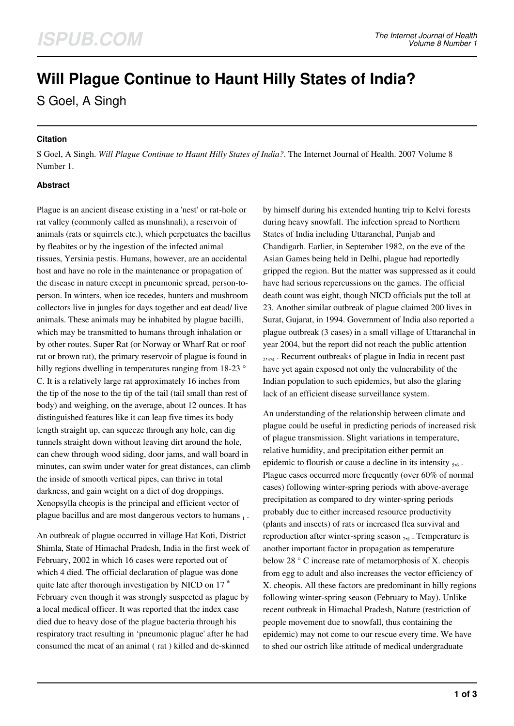# **Will Plague Continue to Haunt Hilly States of India?**

S Goel, A Singh

## **Citation**

S Goel, A Singh. *Will Plague Continue to Haunt Hilly States of India?*. The Internet Journal of Health. 2007 Volume 8 Number 1.

# **Abstract**

Plague is an ancient disease existing in a 'nest' or rat-hole or rat valley (commonly called as munshnali), a reservoir of animals (rats or squirrels etc.), which perpetuates the bacillus by fleabites or by the ingestion of the infected animal tissues, Yersinia pestis. Humans, however, are an accidental host and have no role in the maintenance or propagation of the disease in nature except in pneumonic spread, person-toperson. In winters, when ice recedes, hunters and mushroom collectors live in jungles for days together and eat dead/ live animals. These animals may be inhabited by plague bacilli, which may be transmitted to humans through inhalation or by other routes. Super Rat (or Norway or Wharf Rat or roof rat or brown rat), the primary reservoir of plague is found in hilly regions dwelling in temperatures ranging from 18-23 ° C. It is a relatively large rat approximately 16 inches from the tip of the nose to the tip of the tail (tail small than rest of body) and weighing, on the average, about 12 ounces. It has distinguished features like it can leap five times its body length straight up, can squeeze through any hole, can dig tunnels straight down without leaving dirt around the hole, can chew through wood siding, door jams, and wall board in minutes, can swim under water for great distances, can climb the inside of smooth vertical pipes, can thrive in total darkness, and gain weight on a diet of dog droppings. Xenopsylla cheopis is the principal and efficient vector of plague bacillus and are most dangerous vectors to humans  $_1$ .

An outbreak of plague occurred in village Hat Koti, District Shimla, State of Himachal Pradesh, India in the first week of February, 2002 in which 16 cases were reported out of which 4 died. The official declaration of plague was done quite late after thorough investigation by NICD on  $17<sup>th</sup>$ February even though it was strongly suspected as plague by a local medical officer. It was reported that the index case died due to heavy dose of the plague bacteria through his respiratory tract resulting in 'pneumonic plague' after he had consumed the meat of an animal ( rat ) killed and de-skinned

by himself during his extended hunting trip to Kelvi forests during heavy snowfall. The infection spread to Northern States of India including Uttaranchal, Punjab and Chandigarh. Earlier, in September 1982, on the eve of the Asian Games being held in Delhi, plague had reportedly gripped the region. But the matter was suppressed as it could have had serious repercussions on the games. The official death count was eight, though NICD officials put the toll at 23. Another similar outbreak of plague claimed 200 lives in Surat, Gujarat, in 1994. Government of India also reported a plague outbreak (3 cases) in a small village of Uttaranchal in year 2004, but the report did not reach the public attention 2 ,3 ,4 . Recurrent outbreaks of plague in India in recent past have yet again exposed not only the vulnerability of the Indian population to such epidemics, but also the glaring lack of an efficient disease surveillance system.

An understanding of the relationship between climate and plague could be useful in predicting periods of increased risk of plague transmission. Slight variations in temperature, relative humidity, and precipitation either permit an epidemic to flourish or cause a decline in its intensity  $_{5,6}$ . Plague cases occurred more frequently (over 60% of normal cases) following winter-spring periods with above-average precipitation as compared to dry winter-spring periods probably due to either increased resource productivity (plants and insects) of rats or increased flea survival and reproduction after winter-spring season  $_{7}$ , Temperature is another important factor in propagation as temperature below 28 ° C increase rate of metamorphosis of X. cheopis from egg to adult and also increases the vector efficiency of X. cheopis. All these factors are predominant in hilly regions following winter-spring season (February to May). Unlike recent outbreak in Himachal Pradesh, Nature (restriction of people movement due to snowfall, thus containing the epidemic) may not come to our rescue every time. We have to shed our ostrich like attitude of medical undergraduate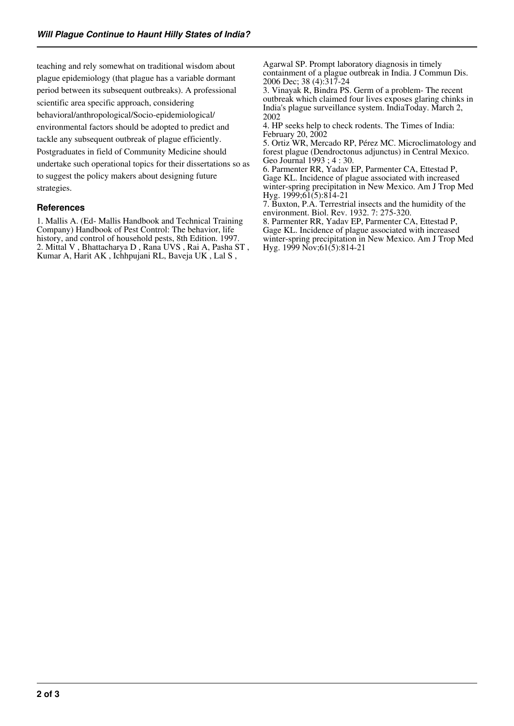teaching and rely somewhat on traditional wisdom about plague epidemiology (that plague has a variable dormant period between its subsequent outbreaks). A professional scientific area specific approach, considering behavioral/anthropological/Socio-epidemiological/ environmental factors should be adopted to predict and tackle any subsequent outbreak of plague efficiently. Postgraduates in field of Community Medicine should undertake such operational topics for their dissertations so as to suggest the policy makers about designing future strategies.

#### **References**

1. Mallis A. (Ed- Mallis Handbook and Technical Training Company) Handbook of Pest Control: The behavior, life history, and control of household pests, 8th Edition. 1997. 2. Mittal V , Bhattacharya D , Rana UVS , Rai A, Pasha ST , Kumar A, Harit AK , Ichhpujani RL, Baveja UK , Lal S ,

Agarwal SP. Prompt laboratory diagnosis in timely containment of a plague outbreak in India. J Commun Dis. 2006 Dec; 38 (4):317-24

3. Vinayak R, Bindra PS. Germ of a problem- The recent outbreak which claimed four lives exposes glaring chinks in India's plague surveillance system. IndiaToday. March 2, 2002

4. HP seeks help to check rodents. The Times of India: February 20, 2002

5. Ortiz WR, Mercado RP, Pérez MC. Microclimatology and forest plague (Dendroctonus adjunctus) in Central Mexico. Geo Journal 1993 ; 4 : 30.

6. Parmenter RR, Yadav EP, Parmenter CA, Ettestad P, Gage KL. Incidence of plague associated with increased winter-spring precipitation in New Mexico. Am J Trop Med Hyg. 1999;61(5):814-21

7. Buxton, P.A. Terrestrial insects and the humidity of the environment. Biol. Rev. 1932. 7: 275-320.

8. Parmenter RR, Yadav EP, Parmenter CA, Ettestad P, Gage KL. Incidence of plague associated with increased winter-spring precipitation in New Mexico. Am J Trop Med Hyg. 1999 Nov;61(5):814-21